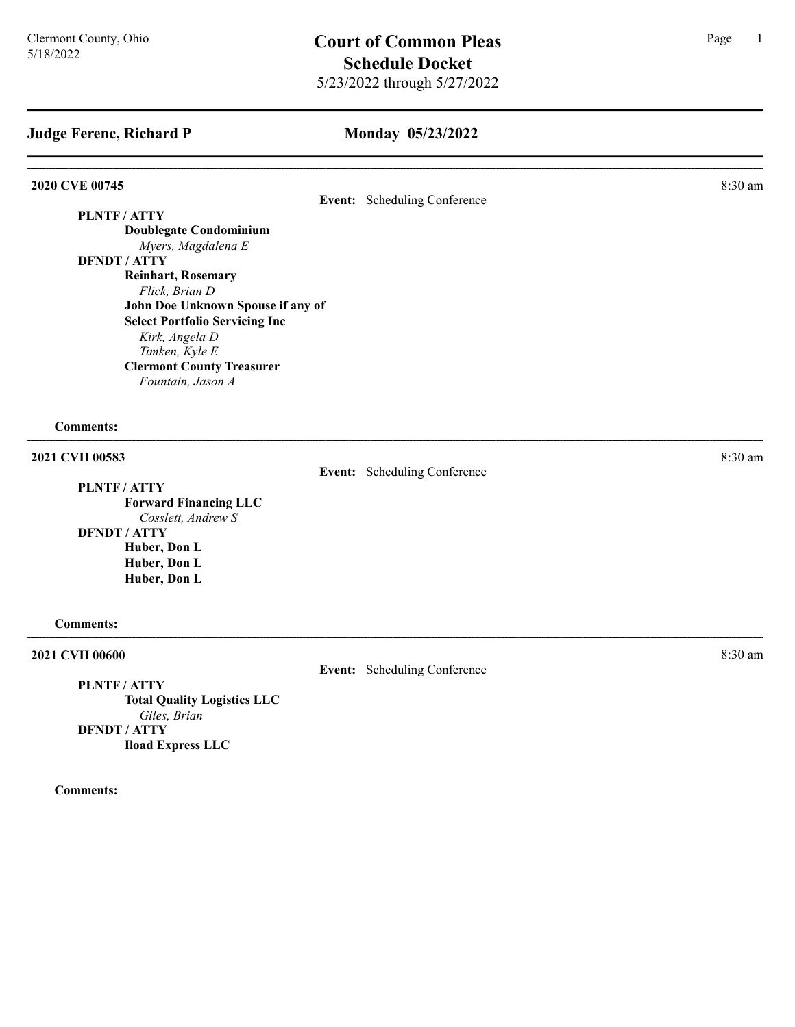#### Monday 05/23/2022

#### **2020 CVE 00745** 8:30 am **8.30 am**

Event: Scheduling Conference

### PLNTF / ATTY Doublegate Condominium Myers, Magdalena E DFNDT / ATTY Reinhart, Rosemary Flick, Brian D John Doe Unknown Spouse if any of Select Portfolio Servicing Inc Kirk, Angela D Timken, Kyle E Clermont County Treasurer

Fountain, Jason A

#### Comments:

# 2021 CVH 00583 8:30 am

PLNTF / ATTY

Event: Scheduling Conference

Forward Financing LLC Cosslett, Andrew S DFNDT / ATTY

> Huber, Don L Huber, Don L Huber, Don L

#### Comments:

#### **2021 CVH 00600** 8:30 am **8:30 am**

Event: Scheduling Conference

PLNTF / ATTY Total Quality Logistics LLC Giles, Brian DFNDT / ATTY Iload Express LLC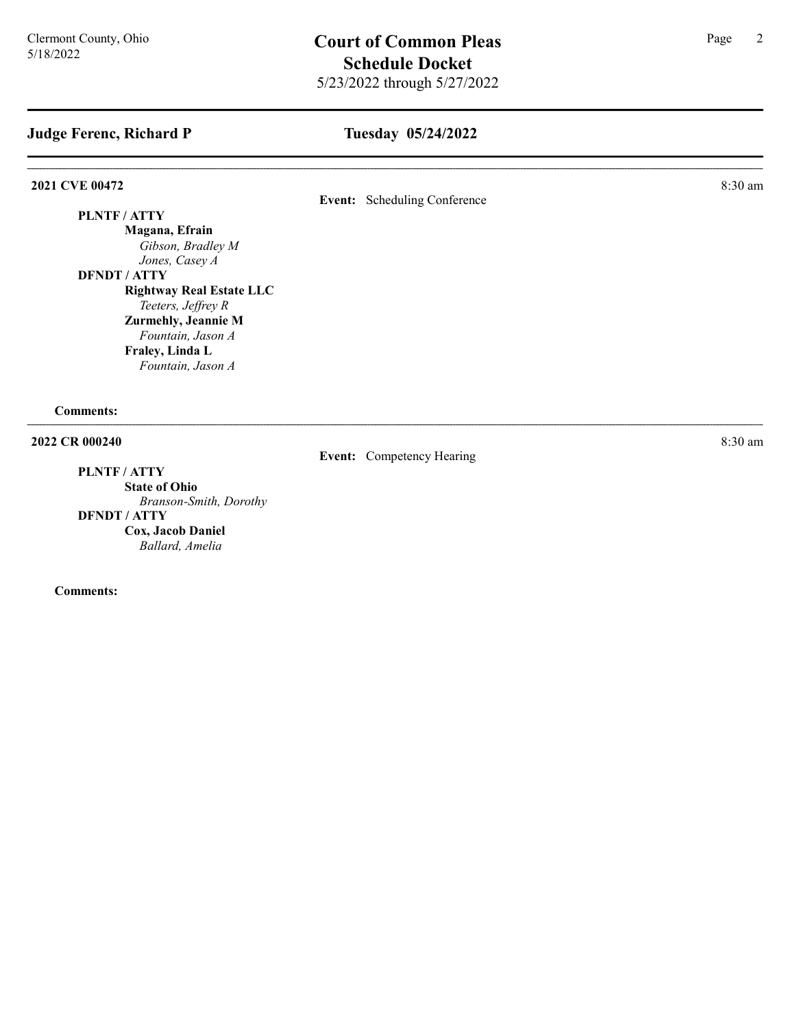# Tuesday 05/24/2022

**2021 CVE 00472** 8:30 am **8.2021** 

# Event: Scheduling Conference

### PLNTF / ATTY

Magana, Efrain Gibson, Bradley M Jones, Casey A

DFNDT / ATTY

Rightway Real Estate LLC Teeters, Jeffrey R Zurmehly, Jeannie M

Fountain, Jason A Fraley, Linda L Fountain, Jason A

Comments:

# **2022 CR 000240** 8:30 am **8:30 am**

PLNTF / ATTY State of Ohio

Branson-Smith, Dorothy DFNDT / ATTY Cox, Jacob Daniel Ballard, Amelia

Comments:

Event: Competency Hearing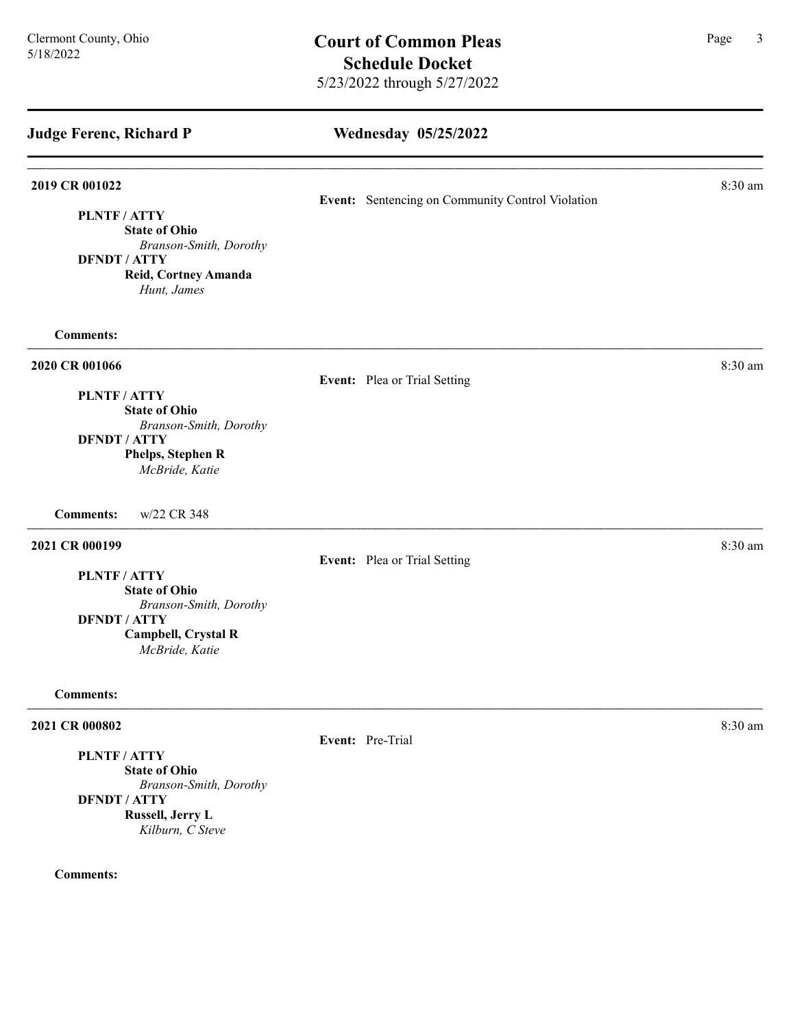Wednesday 05/25/2022 Judge Ferenc, Richard P **2019 CR 001022** 8:30 am Event: Sentencing on Community Control Violation PLNTF / ATTY State of Ohio Branson-Smith, Dorothy DFNDT / ATTY Reid, Cortney Amanda Hunt, James Comments: 2020 CR 001066 8:30 am Event: Plea or Trial Setting PLNTF / ATTY State of Ohio Branson-Smith, Dorothy DFNDT / ATTY Phelps, Stephen R McBride, Katie Comments: w/22 CR 348 **2021 CR 000199** 8:30 am **8:30 am** Event: Plea or Trial Setting PLNTF / ATTY State of Ohio Branson-Smith, Dorothy DFNDT / ATTY Campbell, Crystal R McBride, Katie Comments: **2021 CR 000802** 8:30 am Event: Pre-Trial PLNTF / ATTY State of Ohio Branson-Smith, Dorothy DFNDT / ATTY Russell, Jerry L

Kilburn, C Steve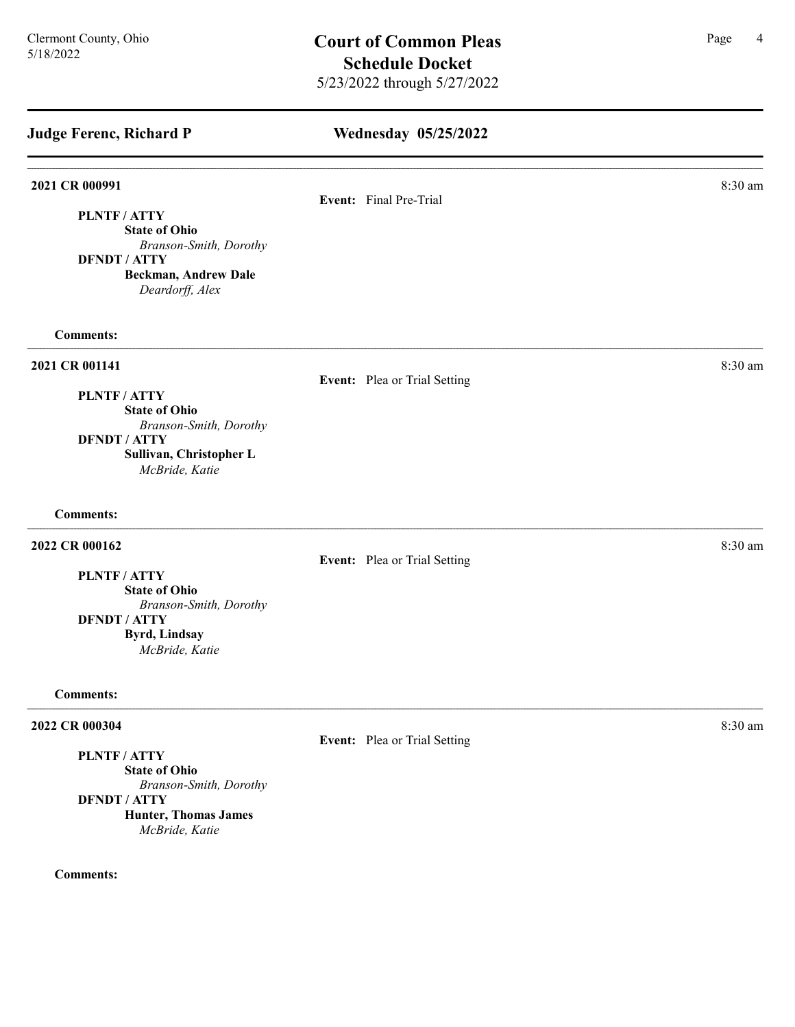| <b>Judge Ferenc, Richard P</b>                                                                                                   | <b>Wednesday 05/25/2022</b>  |         |
|----------------------------------------------------------------------------------------------------------------------------------|------------------------------|---------|
| 2021 CR 000991                                                                                                                   | Event: Final Pre-Trial       | 8:30 am |
| PLNTF / ATTY<br><b>State of Ohio</b><br>Branson-Smith, Dorothy<br><b>DFNDT / ATTY</b><br>Beckman, Andrew Dale<br>Deardorff, Alex |                              |         |
| <b>Comments:</b>                                                                                                                 |                              |         |
| 2021 CR 001141                                                                                                                   | Event: Plea or Trial Setting | 8:30 am |
| PLNTF / ATTY<br><b>State of Ohio</b>                                                                                             |                              |         |
| Branson-Smith, Dorothy                                                                                                           |                              |         |
| <b>DFNDT / ATTY</b><br>Sullivan, Christopher L<br>McBride, Katie                                                                 |                              |         |
| <b>Comments:</b>                                                                                                                 |                              |         |
| 2022 CR 000162                                                                                                                   | Event: Plea or Trial Setting | 8:30 am |
| PLNTF / ATTY                                                                                                                     |                              |         |
| <b>State of Ohio</b>                                                                                                             |                              |         |
| Branson-Smith, Dorothy<br><b>DFNDT / ATTY</b>                                                                                    |                              |         |
| <b>Byrd, Lindsay</b><br>McBride, Katie                                                                                           |                              |         |
| <b>Comments:</b>                                                                                                                 |                              |         |
| 2022 CR 000304                                                                                                                   | Event: Plea or Trial Setting | 8:30 am |
| PLNTF / ATTY<br><b>State of Ohio</b><br>Branson-Smith, Dorothy                                                                   |                              |         |

DFNDT / ATTY Hunter, Thomas James McBride, Katie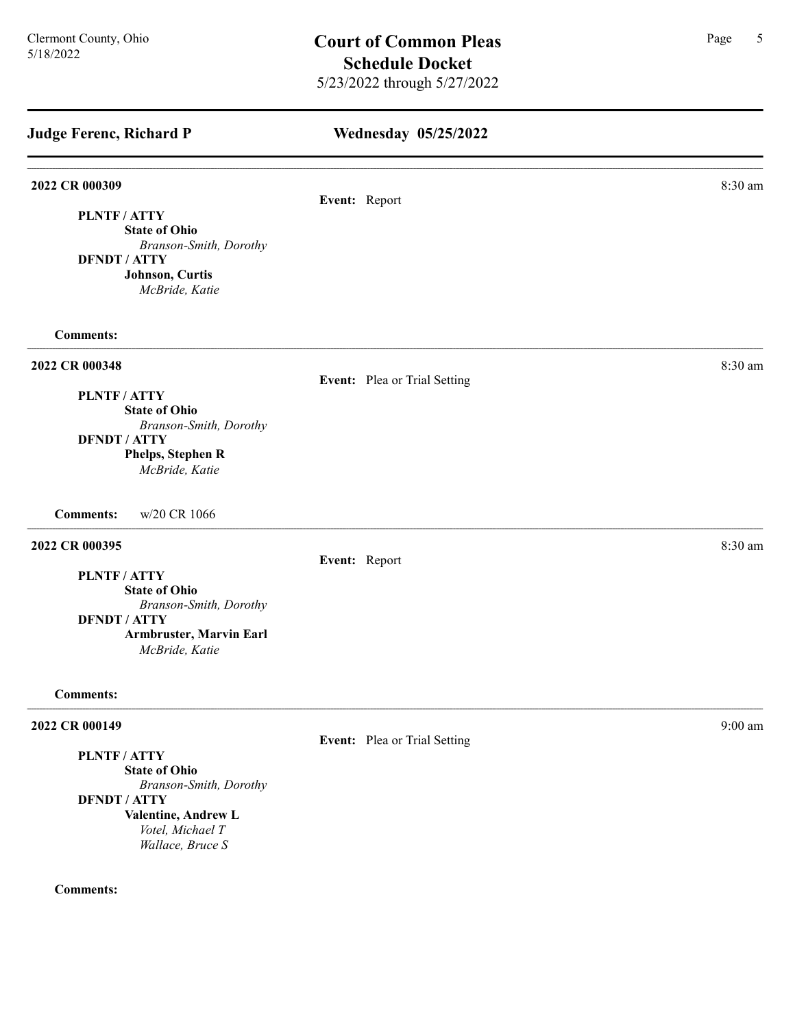| <b>Judge Ferenc, Richard P</b>            | Wednesday 05/25/2022         |           |
|-------------------------------------------|------------------------------|-----------|
| 2022 CR 000309                            |                              | 8:30 am   |
| PLNTF / ATTY                              | Event: Report                |           |
| <b>State of Ohio</b>                      |                              |           |
| Branson-Smith, Dorothy                    |                              |           |
| <b>DFNDT / ATTY</b>                       |                              |           |
| Johnson, Curtis<br>McBride, Katie         |                              |           |
| <b>Comments:</b>                          |                              |           |
| 2022 CR 000348                            |                              | 8:30 am   |
|                                           | Event: Plea or Trial Setting |           |
| PLNTF / ATTY<br><b>State of Ohio</b>      |                              |           |
| Branson-Smith, Dorothy                    |                              |           |
| <b>DFNDT / ATTY</b>                       |                              |           |
| Phelps, Stephen R                         |                              |           |
| McBride, Katie                            |                              |           |
| w/20 CR 1066<br><b>Comments:</b>          |                              |           |
| 2022 CR 000395                            |                              | 8:30 am   |
|                                           | Event: Report                |           |
| PLNTF / ATTY                              |                              |           |
| <b>State of Ohio</b>                      |                              |           |
| Branson-Smith, Dorothy                    |                              |           |
| <b>DFNDT / ATTY</b>                       |                              |           |
| Armbruster, Marvin Earl<br>McBride, Katie |                              |           |
| <b>Comments:</b>                          |                              |           |
| 2022 CR 000149                            |                              | $9:00$ am |
|                                           | Event: Plea or Trial Setting |           |
| PLNTF / ATTY                              |                              |           |
| <b>State of Ohio</b>                      |                              |           |
| Branson-Smith, Dorothy                    |                              |           |
| <b>DFNDT / ATTY</b>                       |                              |           |

Valentine, Andrew L Votel, Michael T

Wallace, Bruce S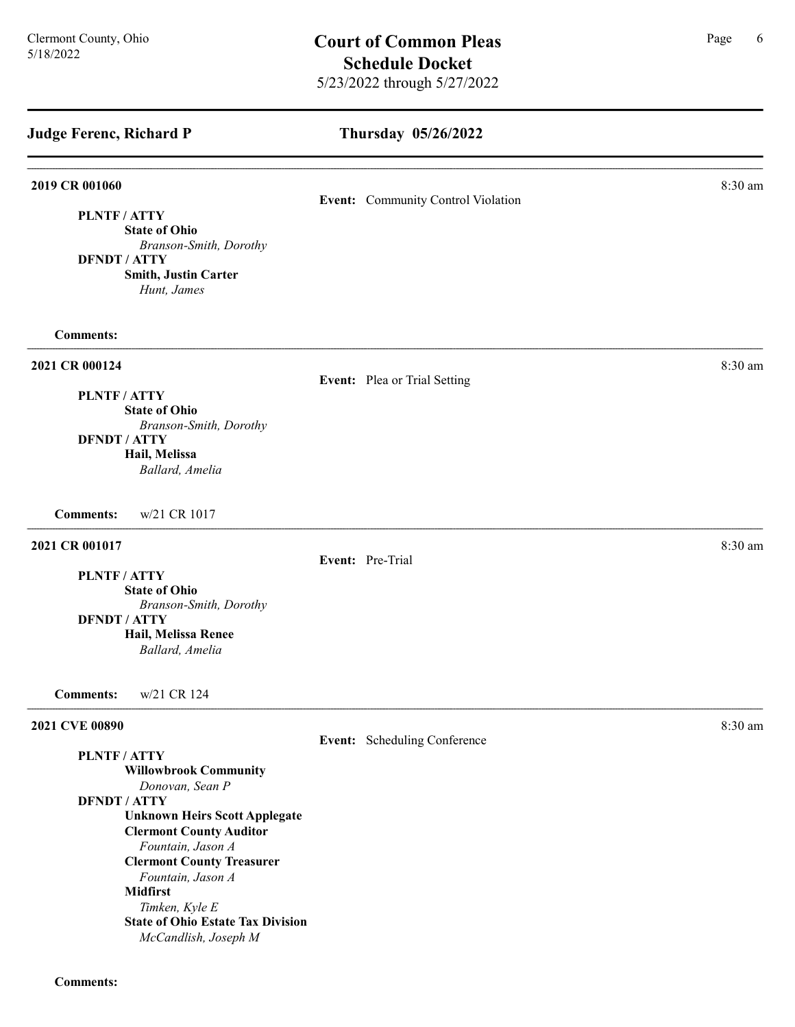# Thursday 05/26/2022 Judge Ferenc, Richard P **2019 CR 001060** 8:30 am **8.30 am** Event: Community Control Violation PLNTF / ATTY State of Ohio Branson-Smith, Dorothy DFNDT / ATTY Smith, Justin Carter Hunt, James Comments: **2021 CR 000124** 8:30 am **8.30 am** Event: Plea or Trial Setting PLNTF / ATTY State of Ohio Branson-Smith, Dorothy DFNDT / ATTY Hail, Melissa Ballard, Amelia Comments: w/21 CR 1017 **2021 CR 001017** 8:30 am **8.2021** Event: Pre-Trial PLNTF / ATTY State of Ohio Branson-Smith, Dorothy DFNDT / ATTY Hail, Melissa Renee Ballard, Amelia Comments: w/21 CR 124 **2021 CVE 00890** 8:30 am **8:30 am** Event: Scheduling Conference PLNTF / ATTY Willowbrook Community Donovan, Sean P DFNDT / ATTY Unknown Heirs Scott Applegate Clermont County Auditor Fountain, Jason A Clermont County Treasurer

Comments:

Fountain, Jason A

State of Ohio Estate Tax Division McCandlish, Joseph M

Timken, Kyle E

Midfirst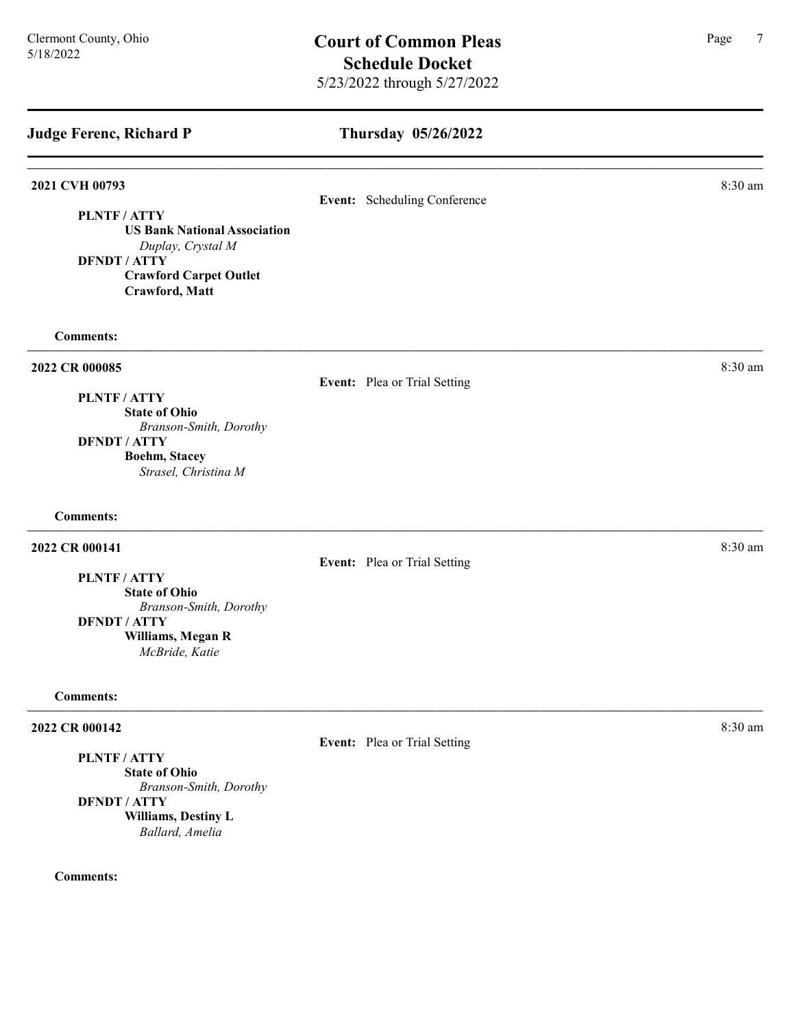| <b>Judge Ferenc, Richard P</b>                                                                                                                                            | Thursday 05/26/2022          |         |
|---------------------------------------------------------------------------------------------------------------------------------------------------------------------------|------------------------------|---------|
| 2021 CVH 00793<br><b>PLNTF/ATTY</b><br><b>US Bank National Association</b><br>Duplay, Crystal M<br><b>DFNDT / ATTY</b><br><b>Crawford Carpet Outlet</b><br>Crawford, Matt | Event: Scheduling Conference | 8:30 am |
| <b>Comments:</b>                                                                                                                                                          |                              |         |
| 2022 CR 000085<br>PLNTF / ATTY<br><b>State of Ohio</b><br>Branson-Smith, Dorothy<br><b>DFNDT / ATTY</b><br><b>Boehm, Stacey</b><br>Strasel, Christina M                   | Event: Plea or Trial Setting | 8:30 am |
| <b>Comments:</b>                                                                                                                                                          |                              |         |
| 2022 CR 000141<br>PLNTF / ATTY<br><b>State of Ohio</b><br>Branson-Smith, Dorothy<br><b>DFNDT / ATTY</b><br>Williams, Megan R<br>McBride, Katie                            | Event: Plea or Trial Setting | 8:30 am |
| <b>Comments:</b>                                                                                                                                                          |                              |         |
| 2022 CR 000142<br><b>PLNTF/ATTY</b><br><b>State of Ohio</b><br>Branson-Smith, Dorothy<br><b>DFNDT / ATTY</b>                                                              | Event: Plea or Trial Setting | 8:30 am |

Williams, Destiny L Ballard, Amelia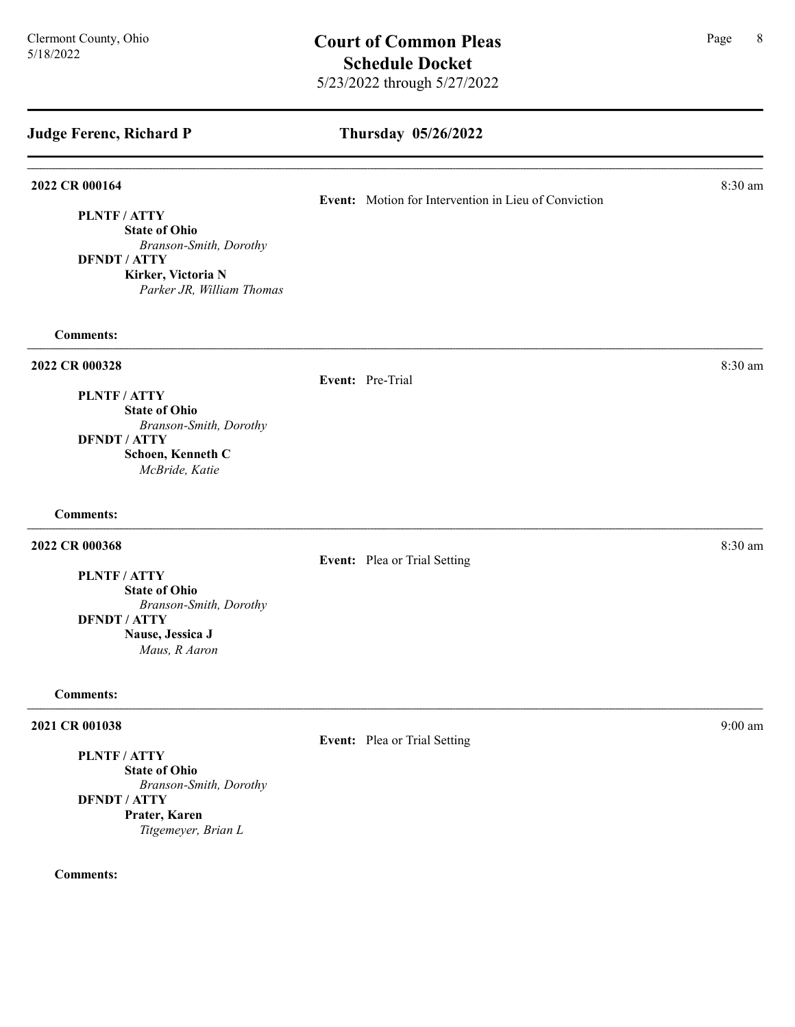## Thursday 05/26/2022

#### **2022 CR 000164** 8:30 am **8:30 am**

PLNTF / ATTY

State of Ohio Branson-Smith, Dorothy DFNDT / ATTY

Kirker, Victoria N Parker JR, William Thomas

Comments:

### **2022 CR 000328** 8:30 am **8:30 am**

Event: Pre-Trial

PLNTF / ATTY State of Ohio Branson-Smith, Dorothy DFNDT / ATTY Schoen, Kenneth C

McBride, Katie

# Comments:

### **2022 CR 000368** 8:30 am **8:30 am**

Event: Plea or Trial Setting

PLNTF / ATTY

State of Ohio Branson-Smith, Dorothy DFNDT / ATTY Nause, Jessica J Maus, R Aaron

#### Comments:

#### 2021 CR 001038 9:00 am 9:00 am 9:00 am 9:00 am 9:00 am 9:00 am 9:00 am 9:00 am 9:00 am 9:00 am 9:00 am 9:00 am

PLNTF / ATTY

State of Ohio Branson-Smith, Dorothy DFNDT / ATTY Prater, Karen Titgemeyer, Brian L

#### Comments:

Event: Motion for Intervention in Lieu of Conviction

Event: Plea or Trial Setting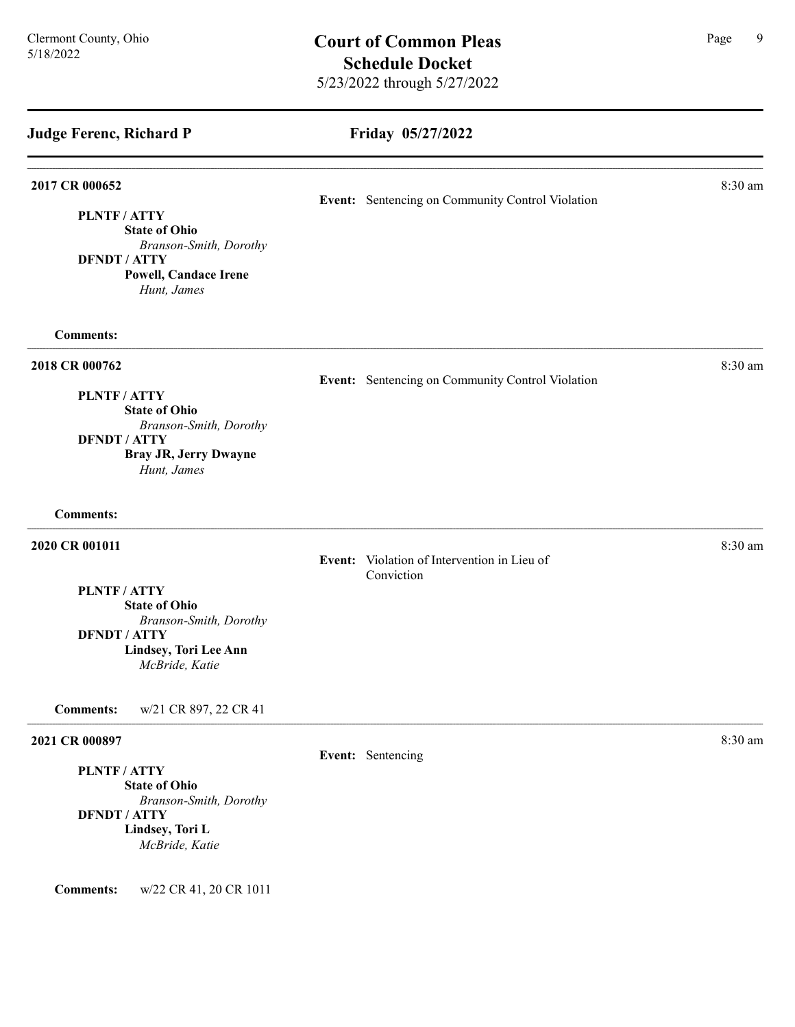Friday 05/27/2022 Judge Ferenc, Richard P 2017 CR 000652 8:30 am Event: Sentencing on Community Control Violation PLNTF / ATTY State of Ohio Branson-Smith, Dorothy DFNDT / ATTY Powell, Candace Irene Hunt, James Comments: **2018 CR 000762** 8:30 am **8:30 am** Event: Sentencing on Community Control Violation PLNTF / ATTY State of Ohio Branson-Smith, Dorothy DFNDT / ATTY Bray JR, Jerry Dwayne Hunt, James Comments: **2020 CR 001011** 8:30 am **8:30 am** Event: Violation of Intervention in Lieu of Conviction PLNTF / ATTY State of Ohio Branson-Smith, Dorothy DFNDT / ATTY Lindsey, Tori Lee Ann McBride, Katie Comments: w/21 CR 897, 22 CR 41 2021 CR 000897 8:30 am Event: Sentencing PLNTF / ATTY State of Ohio Branson-Smith, Dorothy DFNDT / ATTY Lindsey, Tori L McBride, Katie Comments: w/22 CR 41, 20 CR 1011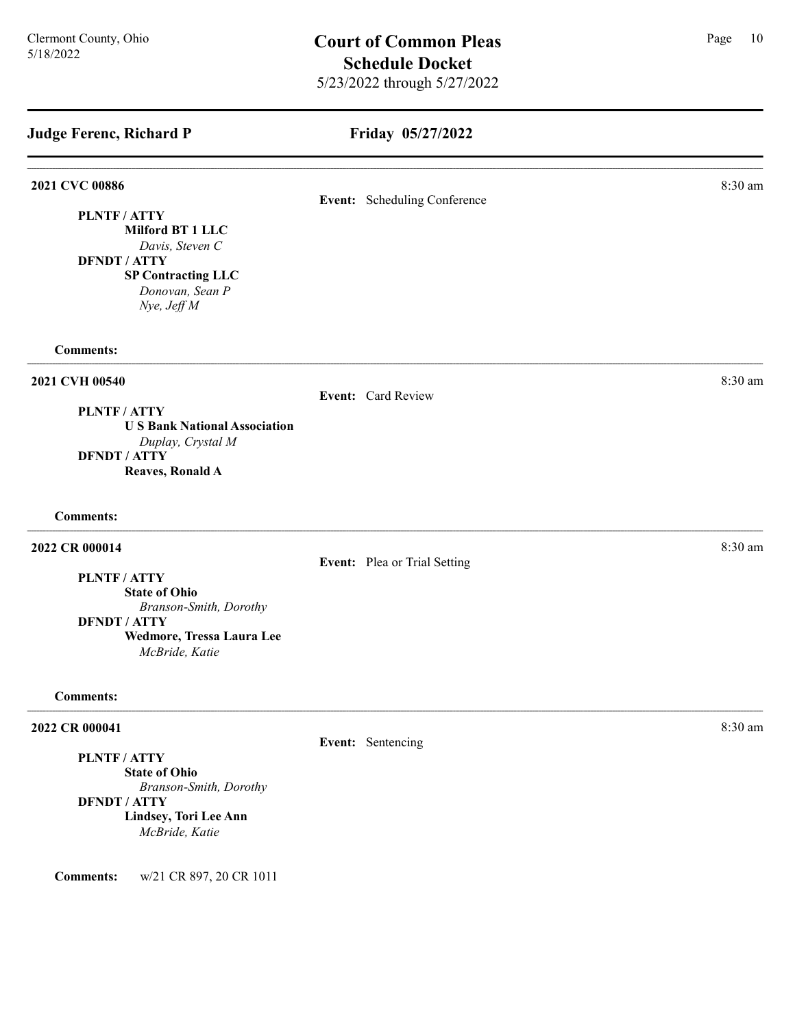# Friday 05/27/2022

| 2021 CVC 00886                                      | Event: Scheduling Conference | 8:30 am |
|-----------------------------------------------------|------------------------------|---------|
| PLNTF / ATTY                                        |                              |         |
| Milford BT 1 LLC                                    |                              |         |
| Davis, Steven C<br><b>DFNDT / ATTY</b>              |                              |         |
| <b>SP Contracting LLC</b>                           |                              |         |
| Donovan, Sean P<br>Nye, Jeff M                      |                              |         |
| <b>Comments:</b>                                    |                              |         |
| 2021 CVH 00540                                      |                              | 8:30 am |
|                                                     | Event: Card Review           |         |
| PLNTF / ATTY<br><b>US Bank National Association</b> |                              |         |
| Duplay, Crystal M                                   |                              |         |
| <b>DFNDT / ATTY</b>                                 |                              |         |
| Reaves, Ronald A                                    |                              |         |
| <b>Comments:</b>                                    |                              |         |
| 2022 CR 000014                                      |                              | 8:30 am |
|                                                     | Event: Plea or Trial Setting |         |
| PLNTF/ATTY<br><b>State of Ohio</b>                  |                              |         |
| Branson-Smith, Dorothy                              |                              |         |
| <b>DFNDT / ATTY</b>                                 |                              |         |
| Wedmore, Tressa Laura Lee<br>McBride, Katie         |                              |         |
| <b>Comments:</b>                                    |                              |         |
| 2022 CR 000041                                      |                              | 8:30 am |
|                                                     | Event: Sentencing            |         |
| PLNTF / ATTY                                        |                              |         |
| <b>State of Ohio</b><br>Branson-Smith, Dorothy      |                              |         |
| <b>DFNDT / ATTY</b>                                 |                              |         |
| Lindsey, Tori Lee Ann                               |                              |         |
| McBride, Katie                                      |                              |         |

Comments: w/21 CR 897, 20 CR 1011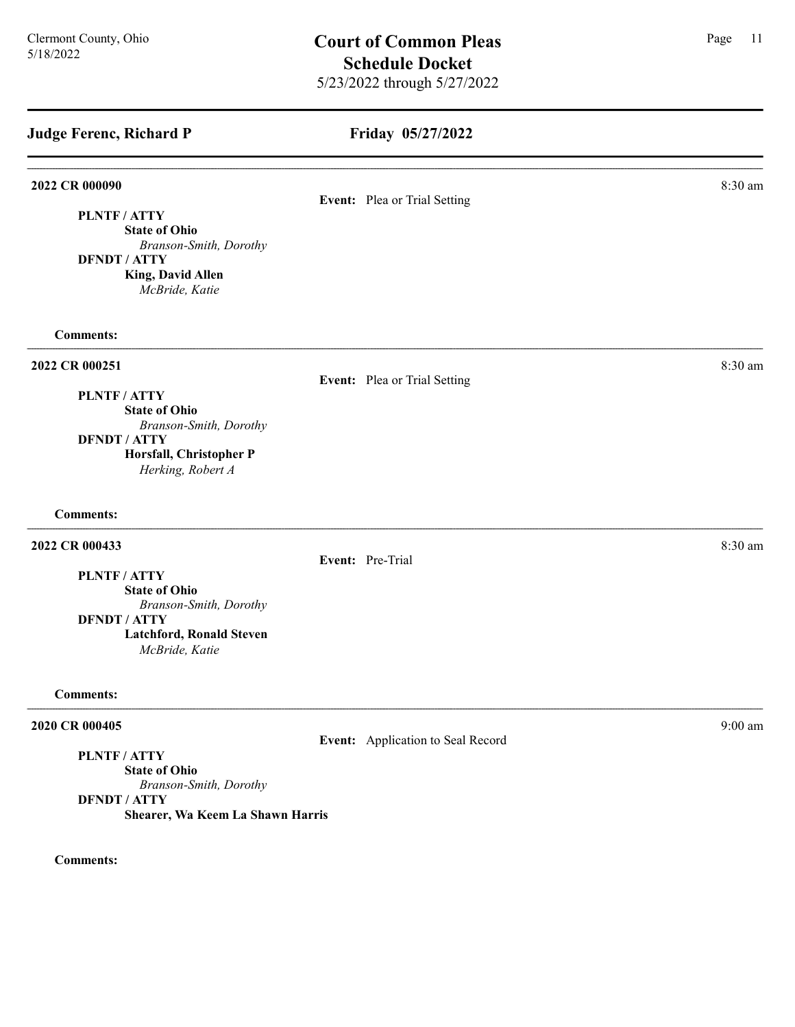# Friday 05/27/2022

#### 2022 CR 000090 8:30 am 2022 CR 000090 8:30 am 2022 CR 000090 8:30 am 2022 CR 000090 8:30 am 2022 CR 000090 8:30 am 2022 CR 000090 8:30 am 2022 CR 000090 8:30 am 2022 CR 000090 8:30 am 2022 CR 000090 8:30 am 2022 CR 000090

# Event: Plea or Trial Setting

PLNTF / ATTY State of Ohio

Branson-Smith, Dorothy DFNDT / ATTY King, David Allen

McBride, Katie

## Comments:

#### 2022 CR 000251 8:30 am and 2022 CR 000251

#### Event: Plea or Trial Setting

PLNTF / ATTY

State of Ohio Branson-Smith, Dorothy DFNDT / ATTY Horsfall, Christopher P Herking, Robert A

Comments:

## 2022 CR 000433 8:30 am 2022 CR 000433

Event: Pre-Trial

PLNTF / ATTY

State of Ohio Branson-Smith, Dorothy

DFNDT / ATTY Latchford, Ronald Steven

McBride, Katie

#### Comments:

#### 2020 CR 000405 9:00 am

Event: Application to Seal Record

# PLNTF / ATTY

State of Ohio Branson-Smith, Dorothy DFNDT / ATTY Shearer, Wa Keem La Shawn Harris